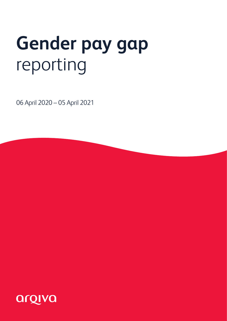# **Gender pay gap**  reporting

06 April 2020 – 05 April 2021

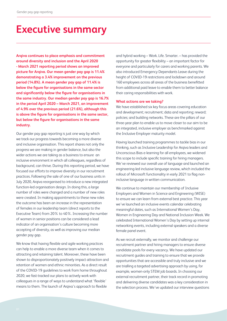## **Executive summary**

**Arqiva continues to place emphasis and commitment around diversity and inclusion and the April 2020 - March 2021 reporting period shows an improved picture for Arqiva. Our mean gender pay gap is 11.4% demonstrating a 3.4% improvement on the previous period (14.8%). A mean gender pay gap of 11.4% is below the figure for organisations in the same sector and significantly below the figure for organisations in the same industry. Our median gender pay gap is 16.7% in the period April 2020 – March 2021, an improvement of 4.9% over the previous period (21.6%), although this is above the figure for organisations in the same sector, but below the figure for organisations in the same industry.**

Our gender pay gap reporting is just one way by which we track our progress towards becoming a more diverse and inclusive organisation. This report shares not only the progress we are making in gender balance, but also the wider actions we are taking as a business to ensure an inclusive environment in which all colleagues, regardless of background, can thrive. During this reporting period, we have focused our efforts to improve diversity in our recruitment practices. Following the sale of one of our business units in July 2020, Arqiva reorganised to introduce a new integrated function-led organisation design. In doing this, a large number of roles were changed and a number of new roles were created. In making appointments to these new roles the outcome has been an increase in the representation of females in our leadership team (direct reports to the Executive Team) from 20% to 40%. Increasing the number of women in senior positions can be considered a lead indicator of an organisation's culture becoming more accepting of diversity, as well as improving our median gender pay gap.

We know that having flexible and agile working practices can help to enable a more diverse team when it comes to attracting and retaining talent. Moreover, these have been shown to disproportionately positively impact attraction and retention of women and ethnic minorities. As a direct result of the COVID-19 guidelines to work from home throughout 2020, we fast-tracked our plans to actively work with colleagues in a range of ways to understand what 'flexible' means to them. The launch of Arqiva's approach to flexible

and hybrid working – Work. Life. Smarter. – has provided the opportunity for greater flexibility – an important factor for everyone and particularly for carers and working parents. We also introduced Emergency Dependants Leave during the height of COVID-19 restrictions and lockdown and around 160 employees across all areas of the business benefitted from additional paid leave to enable them to better balance their caring responsibilities with work.

#### **What actions are we taking?**

We have established six key focus areas covering education and development; recruitment; data and reporting; reward; policies; and building networks. These are the pillars of our three-year plan to enable us to move closer to our aim to be an integrated, inclusive employer as benchmarked against the Inclusive Employer maturity model.

Having launched training programmes to tackle bias in our thinking, such as Inclusive Leadership for Arqiva leaders and Unconscious Bias e-learning for all employees, we widened this scope to include specific training for hiring managers. We've reviewed our overall use of language and launched an engineering-led inclusive language review, which included the rollout of Microsoft functionality in early 2021 to flag noninclusive language in written communication.

We continue to maintain our membership of Inclusive Employers and Women in Science and Engineering (WISE) to ensure we can learn from external best practice. This year we've launched an inclusive events calendar celebrating meaningful dates, such as International Women's Day, Women in Engineering Day and National Inclusion Week. We celebrated International Women's Day by setting up internal networking events, including external speakers and a diverse female panel event.

As we recruit externally, we monitor and challenge our recruitment partner and hiring managers to ensure diverse candidate pools for every vacancy. We have updated our recruitment guides and training to ensure that we provide opportunities that are accessible and truly inclusive and we are trialling a targeted advertising approach by using, for example, women-only STEM job boards. In choosing our external recruitment partner, their track record in promoting and delivering diverse candidates was a key consideration in the selection process. We've updated our interview questions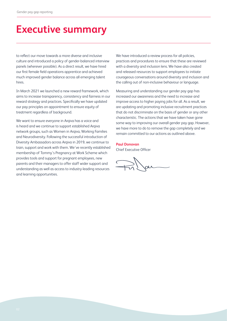## **Executive summary**

to reflect our move towards a more diverse and inclusive culture and introduced a policy of gender-balanced interview panels (wherever possible). As a direct result, we have hired our first female field operations apprentice and achieved much improved gender balance across all emerging talent hires.

In March 2021 we launched a new reward framework, which aims to increase transparency, consistency and fairness in our reward strategy and practices. Specifically we have updated our pay principles on appointment to ensure equity of treatment regardless of background.

We want to ensure everyone in Argiva has a voice and is heard and we continue to support established Arqiva network groups, such as Women in Arqiva, Working Families and Neurodiversity. Following the successful introduction of Diversity Ambassadors across Arqiva in 2019, we continue to train, support and work with them. We've recently established membership of Tommy's Pregnancy at Work Scheme which provides tools and support for pregnant employees, new parents and their managers to offer staff wider support and understanding as well as access to industry-leading resources and learning opportunities.

We have introduced a review process for all policies. practices and procedures to ensure that these are reviewed with a diversity and inclusion lens. We have also created and released resources to support employees to initiate courageous conversations around diversity and inclusion and the calling out of non-inclusive behaviour or language.

Measuring and understanding our gender pay gap has increased our awareness and the need to increase and improve access to higher paying jobs for all. As a result, we are updating and promoting inclusive recruitment practices that do not discriminate on the basis of gender or any other characteristic. The actions that we have taken have gone some way to improving our overall gender pay gap. However, we have more to do to remove the gap completely and we remain committed to our actions as outlined above.

## **Paul Donovan**

Chief Executive Officer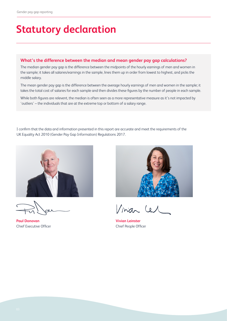## **Statutory declaration**

## **What's the difference between the median and mean gender pay gap calculations?**

The median gender pay gap is the difference between the midpoints of the hourly earnings of men and women in the sample; it takes all salaries/earnings in the sample, lines them up in order from lowest to highest, and picks the middle salary.

The mean gender pay gap is the difference between the average hourly earnings of men and women in the sample; it takes the total cost of salaries for each sample and then divides these figures by the number of people in each sample.

While both figures are relevent, the median is often seen as a more representative measure as it's not impacted by 'outliers' – the individuals that are at the extreme top or bottom of a salary range.

I confirm that the data and information presented in this report are accurate and meet the requirements of the UK Equality Act 2010 (Gender Pay Gap Information) Regulations 2017.



**Paul Donovan** Chief Executive Officer



Vinian Le

**Vivian Leinster** Chief People Officer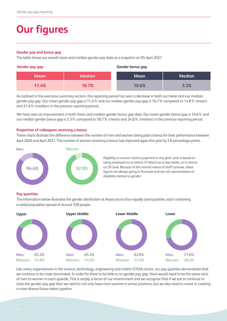## **Our figures**

#### **Gender pay and bonus gap**

The table shows our overall mean and median gender pay data as a snapshot on 05 April 2021

### **Gender pay gap Gender bonus gap**

| <b>Mean</b> | <b>Median</b> | Mean  | <b>Median</b> |
|-------------|---------------|-------|---------------|
| 11.4%       | 16.7%         | 10.6% | 5.3%          |

As outlined in the executive summary section, this reporting period has seen a decrease in both our mean and our median gender pay gap. Our mean gender pay gap is 11.4% and our median gender pay gap is 16.7% compared to 14.8% (mean) and 21.6% (median) in the previous reporting period.

We have seen an improvement in both mean and median gender bonus gap data. Our mean gender bonus gap is 10.6% and our median gender bonus gap is 5.3% compared to 50.7% (mean) and 24.6% (median) in the previous reporting period.

#### **Proportion of colleagues receiving a bonus**

These charts illustrate the difference between the number of men and women being paid a bonus for their performance between April 2020 and April 2021. The number of women receiving a bonus has improved again this year by 3.9 percentage points.



Eligibility to receive a bonus payment in any given year is based on being employed on or before 31 March as a new starter, or in service on 30 June. Because of the normal nature of staff turnover, these figures are always going to fluctuate and are not representative of eligibility relative to gender.

## **Pay quartiles**

The information below illustrates the gender distribution at Arqiva across four equally sized quartiles, each containing a varied population spread of around 330 people.



Like many organisations in the science, technology, engineering and maths (STEM) sector, our pay quartiles demonstrate that we continue to be male dominated. In order for there to be little or no gender pay gap, there would need to be the same ratio of men to women in each quartile. This is simply a factor of our environment and we recognise that if we are to continue to close the gender pay gap then we need to not only have more women in senior positions, but we also need to invest in creating a more diverse future talent pipeline.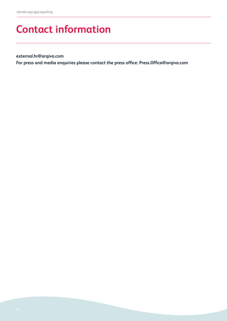## **Contact information**

**external.hr@arqiva.com** 

**For press and media enquiries please contact the press office: Press.Office@arqiva.com**